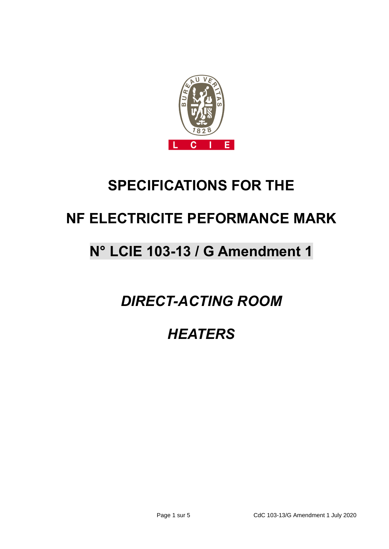

# **SPECIFICATIONS FOR THE**

# **NF ELECTRICITE PEFORMANCE MARK**

# **N° LCIE 103-13 / G Amendment 1**

*DIRECT-ACTING ROOM*

*HEATERS*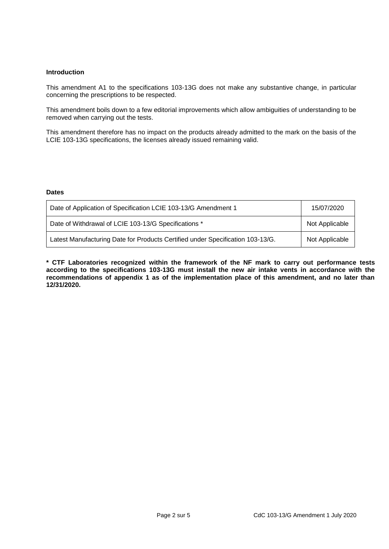# **Introduction**

This amendment A1 to the specifications 103-13G does not make any substantive change, in particular concerning the prescriptions to be respected.

This amendment boils down to a few editorial improvements which allow ambiguities of understanding to be removed when carrying out the tests.

This amendment therefore has no impact on the products already admitted to the mark on the basis of the LCIE 103-13G specifications, the licenses already issued remaining valid.

## **Dates**

| Date of Application of Specification LCIE 103-13/G Amendment 1                 | 15/07/2020     |
|--------------------------------------------------------------------------------|----------------|
| Date of Withdrawal of LCIE 103-13/G Specifications *                           | Not Applicable |
| Latest Manufacturing Date for Products Certified under Specification 103-13/G. | Not Applicable |

**\* CTF Laboratories recognized within the framework of the NF mark to carry out performance tests according to the specifications 103-13G must install the new air intake vents in accordance with the recommendations of appendix 1 as of the implementation place of this amendment, and no later than 12/31/2020.**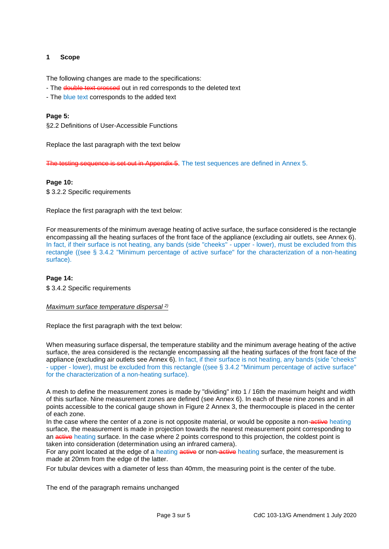# **1 Scope**

The following changes are made to the specifications:

- The **double text crossed** out in red corresponds to the deleted text
- The blue text corresponds to the added text

## **Page 5:**

§2.2 Definitions of User-Accessible Functions

Replace the last paragraph with the text below

Appendix 5. The test sequences are defined in Annex 5.

# **Page 10:**

\$3.2.2 Specific requirements

Replace the first paragraph with the text below:

For measurements of the minimum average heating of active surface, the surface considered is the rectangle encompassing all the heating surfaces of the front face of the appliance (excluding air outlets, see Annex 6). In fact, if their surface is not heating, any bands (side "cheeks" - upper - lower), must be excluded from this rectangle ((see § 3.4.2 "Minimum percentage of active surface" for the characterization of a non-heating surface).

## **Page 14:**

\$ 3.4.2 Specific requirements

#### *Maximum surface temperature dispersal 2)*

Replace the first paragraph with the text below:

When measuring surface dispersal, the temperature stability and the minimum average heating of the active surface, the area considered is the rectangle encompassing all the heating surfaces of the front face of the appliance (excluding air outlets see Annex 6). In fact, if their surface is not heating, any bands (side "cheeks" - upper - lower), must be excluded from this rectangle ((see § 3.4.2 "Minimum percentage of active surface" for the characterization of a non-heating surface).

A mesh to define the measurement zones is made by "dividing" into 1 / 16th the maximum height and width of this surface. Nine measurement zones are defined (see Annex 6). In each of these nine zones and in all points accessible to the conical gauge shown in Figure 2 Annex 3, the thermocouple is placed in the center of each zone.

In the case where the center of a zone is not opposite material, or would be opposite a non-active heating surface, the measurement is made in projection towards the nearest measurement point corresponding to an **active** heating surface. In the case where 2 points correspond to this projection, the coldest point is taken into consideration (determination using an infrared camera).

For any point located at the edge of a heating active or non-active heating surface, the measurement is made at 20mm from the edge of the latter.

For tubular devices with a diameter of less than 40mm, the measuring point is the center of the tube.

The end of the paragraph remains unchanged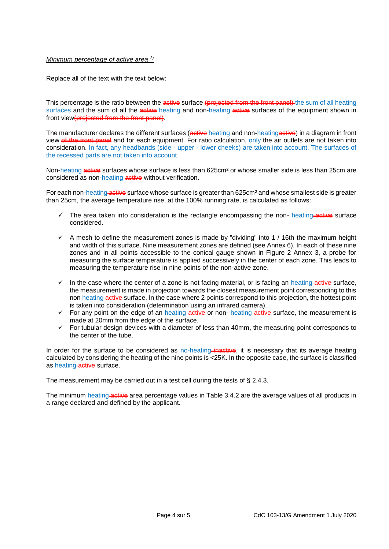## *Minimum percentage of active area 3)*

Replace all of the text with the text below:

This percentage is the ratio between the active surface (projected from the front panel) the sum of all heating surfaces and the sum of all the active heating and non-heating active surfaces of the equipment shown in front view(projected from the front panel).

The manufacturer declares the different surfaces (**active** heating and non-heating **active**) in a diagram in front view of the front panel and for each equipment. For ratio calculation, only the air outlets are not taken into consideration. In fact, any headbands (side - upper - lower cheeks) are taken into account. The surfaces of the recessed parts are not taken into account.

Non-heating active surfaces whose surface is less than 625cm<sup>2</sup> or whose smaller side is less than 25cm are considered as non-heating **active** without verification.

For each non-heating active surface whose surface is greater than 625cm<sup>2</sup> and whose smallest side is greater than 25cm, the average temperature rise, at the 100% running rate, is calculated as follows:

- $\checkmark$  The area taken into consideration is the rectangle encompassing the non- heating active surface considered.
- $\checkmark$  A mesh to define the measurement zones is made by "dividing" into 1 / 16th the maximum height and width of this surface. Nine measurement zones are defined (see Annex 6). In each of these nine zones and in all points accessible to the conical gauge shown in Figure 2 Annex 3, a probe for measuring the surface temperature is applied successively in the center of each zone. This leads to measuring the temperature rise in nine points of the non-active zone.
- $\checkmark$  In the case where the center of a zone is not facing material, or is facing an heating active surface, the measurement is made in projection towards the closest measurement point corresponding to this non heating active surface. In the case where 2 points correspond to this projection, the hottest point is taken into consideration (determination using an infrared camera).
- For any point on the edge of an heating active or non- heating active surface, the measurement is made at 20mm from the edge of the surface.
- $\checkmark$  For tubular design devices with a diameter of less than 40mm, the measuring point corresponds to the center of the tube.

In order for the surface to be considered as no-heating-inactive, it is necessary that its average heating calculated by considering the heating of the nine points is <25K. In the opposite case, the surface is classified as heating active surface.

The measurement may be carried out in a test cell during the tests of § 2.4.3.

The minimum heating active area percentage values in Table 3.4.2 are the average values of all products in a range declared and defined by the applicant.